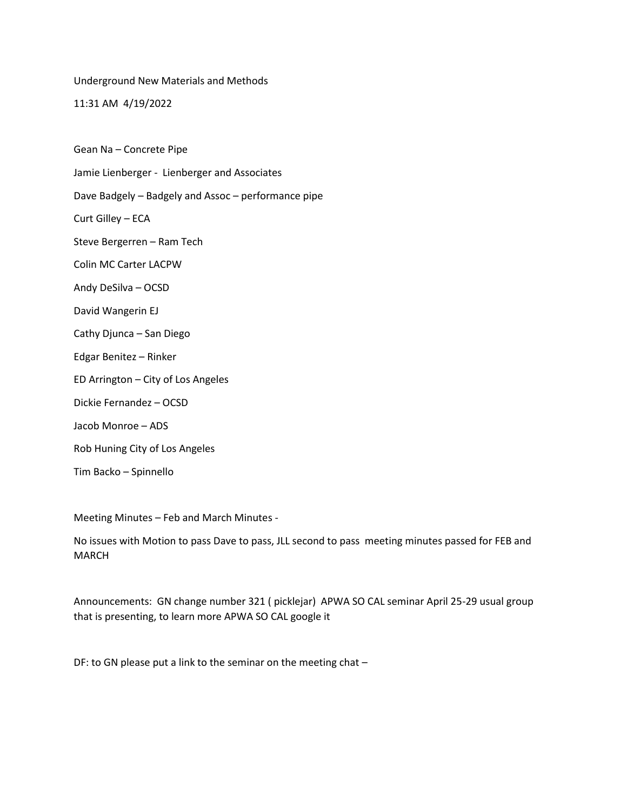Underground New Materials and Methods

11:31 AM 4/19/2022

Gean Na – Concrete Pipe

Jamie Lienberger - Lienberger and Associates

Dave Badgely – Badgely and Assoc – performance pipe

Curt Gilley – ECA

Steve Bergerren – Ram Tech

Colin MC Carter LACPW

Andy DeSilva – OCSD

David Wangerin EJ

Cathy Djunca – San Diego

Edgar Benitez – Rinker

ED Arrington – City of Los Angeles

Dickie Fernandez – OCSD

Jacob Monroe – ADS

Rob Huning City of Los Angeles

Tim Backo – Spinnello

Meeting Minutes – Feb and March Minutes -

No issues with Motion to pass Dave to pass, JLL second to pass meeting minutes passed for FEB and MARCH

Announcements: GN change number 321 ( picklejar) APWA SO CAL seminar April 25-29 usual group that is presenting, to learn more APWA SO CAL google it

DF: to GN please put a link to the seminar on the meeting chat –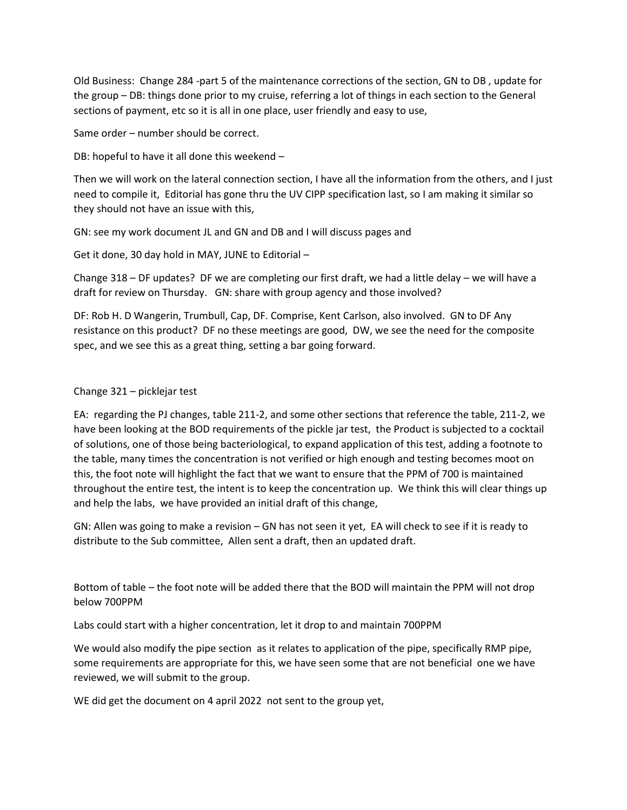Old Business: Change 284 -part 5 of the maintenance corrections of the section, GN to DB , update for the group – DB: things done prior to my cruise, referring a lot of things in each section to the General sections of payment, etc so it is all in one place, user friendly and easy to use,

Same order – number should be correct.

DB: hopeful to have it all done this weekend –

Then we will work on the lateral connection section, I have all the information from the others, and I just need to compile it, Editorial has gone thru the UV CIPP specification last, so I am making it similar so they should not have an issue with this,

GN: see my work document JL and GN and DB and I will discuss pages and

Get it done, 30 day hold in MAY, JUNE to Editorial –

Change 318 – DF updates? DF we are completing our first draft, we had a little delay – we will have a draft for review on Thursday. GN: share with group agency and those involved?

DF: Rob H. D Wangerin, Trumbull, Cap, DF. Comprise, Kent Carlson, also involved. GN to DF Any resistance on this product? DF no these meetings are good, DW, we see the need for the composite spec, and we see this as a great thing, setting a bar going forward.

## Change 321 – picklejar test

EA: regarding the PJ changes, table 211-2, and some other sections that reference the table, 211-2, we have been looking at the BOD requirements of the pickle jar test, the Product is subjected to a cocktail of solutions, one of those being bacteriological, to expand application of this test, adding a footnote to the table, many times the concentration is not verified or high enough and testing becomes moot on this, the foot note will highlight the fact that we want to ensure that the PPM of 700 is maintained throughout the entire test, the intent is to keep the concentration up. We think this will clear things up and help the labs, we have provided an initial draft of this change,

GN: Allen was going to make a revision – GN has not seen it yet, EA will check to see if it is ready to distribute to the Sub committee, Allen sent a draft, then an updated draft.

Bottom of table – the foot note will be added there that the BOD will maintain the PPM will not drop below 700PPM

Labs could start with a higher concentration, let it drop to and maintain 700PPM

We would also modify the pipe section as it relates to application of the pipe, specifically RMP pipe, some requirements are appropriate for this, we have seen some that are not beneficial one we have reviewed, we will submit to the group.

WE did get the document on 4 april 2022 not sent to the group yet,